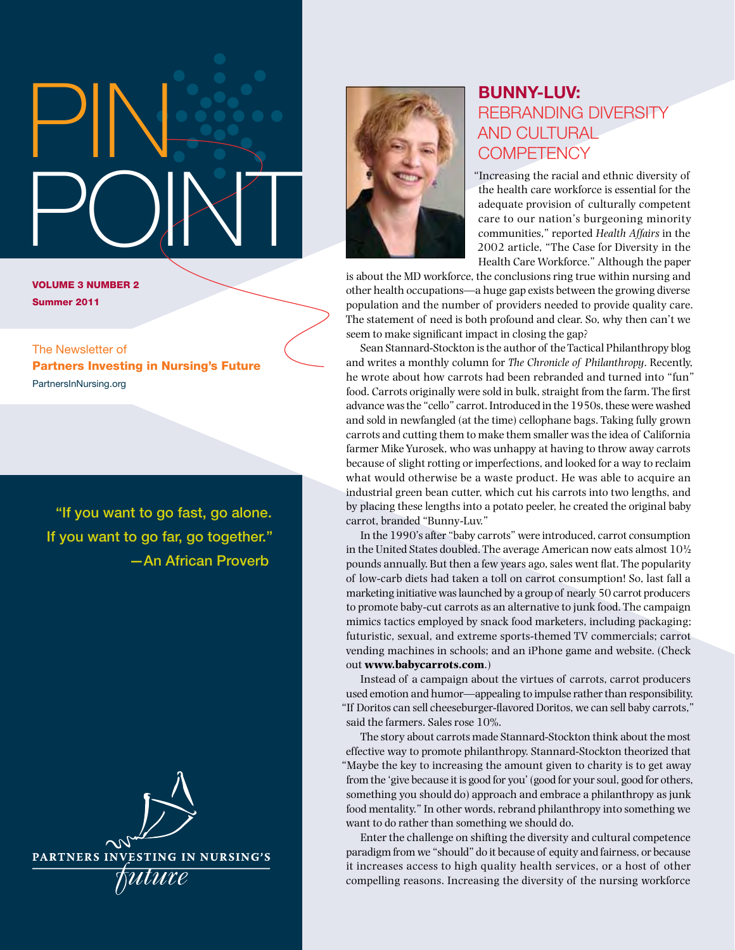# PIN: POINT

Volume 3 Number 2 Summer 2011

The Newsletter of Partners Investing in Nursing's Future [PartnersInNursing.org](http://www.partnersinnursing.org/)

"If you want to go fast, go alone. If you want to go far, go together." —An African Proverb





## Bunny-Luv: Rebranding Diversity and Cultural **COMPETENCY**

"Increasing the racial and ethnic diversity of the health care workforce is essential for the adequate provision of culturally competent care to our nation's burgeoning minority communities," reported *Health Affairs* in the 2002 article, "The Case for Diversity in the Health Care Workforce." Although the paper

is about the MD workforce, the conclusions ring true within nursing and other health occupations—a huge gap exists between the growing diverse population and the number of providers needed to provide quality care. The statement of need is both profound and clear. So, why then can't we seem to make significant impact in closing the gap?

Sean Stannard-Stockton is the author of the Tactical Philanthropy blog and writes a monthly column for *The Chronicle of Philanthropy*. Recently, he wrote about how carrots had been rebranded and turned into "fun" food. Carrots originally were sold in bulk, straight from the farm. The first advance was the "cello" carrot. Introduced in the 1950s, these were washed and sold in newfangled (at the time) cellophane bags. Taking fully grown carrots and cutting them to make them smaller was the idea of California farmer Mike Yurosek, who was unhappy at having to throw away carrots because of slight rotting or imperfections, and looked for a way to reclaim what would otherwise be a waste product. He was able to acquire an industrial green bean cutter, which cut his carrots into two lengths, and by placing these lengths into a potato peeler, he created the original baby carrot, branded "Bunny-Luv."

In the 1990's after "baby carrots" were introduced, carrot consumption in the United States doubled. The average American now eats almost 10½ pounds annually. But then a few years ago, sales went flat. The popularity of low-carb diets had taken a toll on carrot consumption! So, last fall a marketing initiative was launched by a group of nearly 50 carrot producers to promote baby-cut carrots as an alternative to junk food. The campaign mimics tactics employed by snack food marketers, including packaging; futuristic, sexual, and extreme sports-themed TV commercials; carrot vending machines in schools; and an iPhone game and website. (Check out **[www.babycarrots.com](http://www.babycarrots.com)**.)

Instead of a campaign about the virtues of carrots, carrot producers used emotion and humor—appealing to impulse rather than responsibility. "If Doritos can sell cheeseburger-flavored Doritos, we can sell baby carrots," said the farmers. Sales rose 10%.

The story about carrots made Stannard-Stockton think about the most effective way to promote philanthropy. Stannard-Stockton theorized that "Maybe the key to increasing the amount given to charity is to get away from the 'give because it is good for you' (good for your soul, good for others, something you should do) approach and embrace a philanthropy as junk food mentality." In other words, rebrand philanthropy into something we want to do rather than something we should do.

Enter the challenge on shifting the diversity and cultural competence paradigm from we "should" do it because of equity and fairness, or because it increases access to high quality health services, or a host of other compelling reasons. Increasing the diversity of the nursing workforce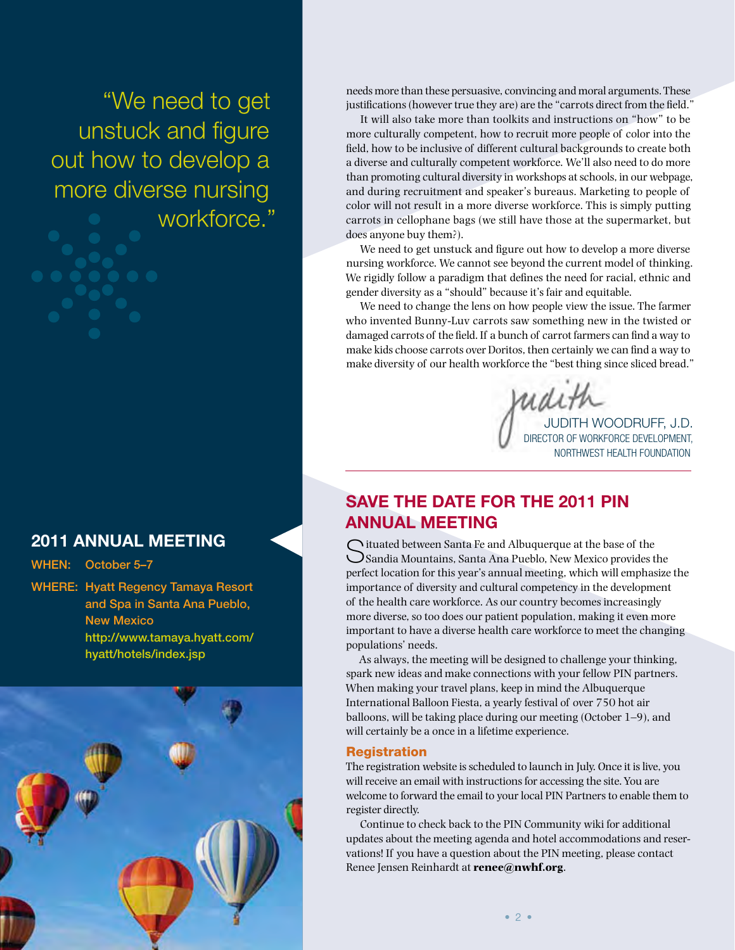"We need to get unstuck and figure out how to develop a more diverse nursing workforce."

#### 2011 Annual Meeting

When: October 5–7

Where: Hyatt Regency Tamaya Resort and Spa in Santa Ana Pueblo, New Mexico [http://www.tamaya.hyatt.com/](http://www.tamaya.hyatt.com/hyatt/hotels/index.jsp)  [hyatt/hotels/index.jsp](http://www.tamaya.hyatt.com/hyatt/hotels/index.jsp)



needs more than these persuasive, convincing and moral arguments. These justifications (however true they are) are the "carrots direct from the field."

It will also take more than toolkits and instructions on "how" to be more culturally competent, how to recruit more people of color into the field, how to be inclusive of different cultural backgrounds to create both a diverse and culturally competent workforce. We'll also need to do more than promoting cultural diversity in workshops at schools, in our webpage, and during recruitment and speaker's bureaus. Marketing to people of color will not result in a more diverse workforce. This is simply putting carrots in cellophane bags (we still have those at the supermarket, but does anyone buy them?).

We need to get unstuck and figure out how to develop a more diverse nursing workforce. We cannot see beyond the current model of thinking. We rigidly follow a paradigm that defines the need for racial, ethnic and gender diversity as a "should" because it's fair and equitable.

We need to change the lens on how people view the issue. The farmer who invented Bunny-Luv carrots saw something new in the twisted or damaged carrots of the field. If a bunch of carrot farmers can find a way to make kids choose carrots over Doritos, then certainly we can find a way to make diversity of our health workforce the "best thing since sliced bread."

Judith Woodruff, J.D. Director of Workforce Development, Northwest Health Foundation

#### SAVE THE DATE FOR THE 2011 PIN Annual Meeting

 $\bigcap$  ituated between Santa Fe and Albuquerque at the base of the Sandia Mountains, Santa Ana Pueblo, New Mexico provides the perfect location for this year's annual meeting, which will emphasize the importance of diversity and cultural competency in the development of the health care workforce. As our country becomes increasingly more diverse, so too does our patient population, making it even more important to have a diverse health care workforce to meet the changing populations' needs.

As always, the meeting will be designed to challenge your thinking, spark new ideas and make connections with your fellow PIN partners. When making your travel plans, keep in mind the Albuquerque International Balloon Fiesta, a yearly festival of over 750 hot air balloons, will be taking place during our meeting (October 1–9), and will certainly be a once in a lifetime experience.

#### Registration

The registration website is scheduled to launch in July. Once it is live, you will receive an email with instructions for accessing the site. You are welcome to forward the email to your local PIN Partners to enable them to register directly.

Continue to check back to the PIN Community wiki for additional updates about the meeting agenda and hotel accommodations and reservations! If you have a question about the PIN meeting, please contact Renee Jensen Reinhardt at **[renee@nwhf.org](mailto:renee@nwhf.org)**.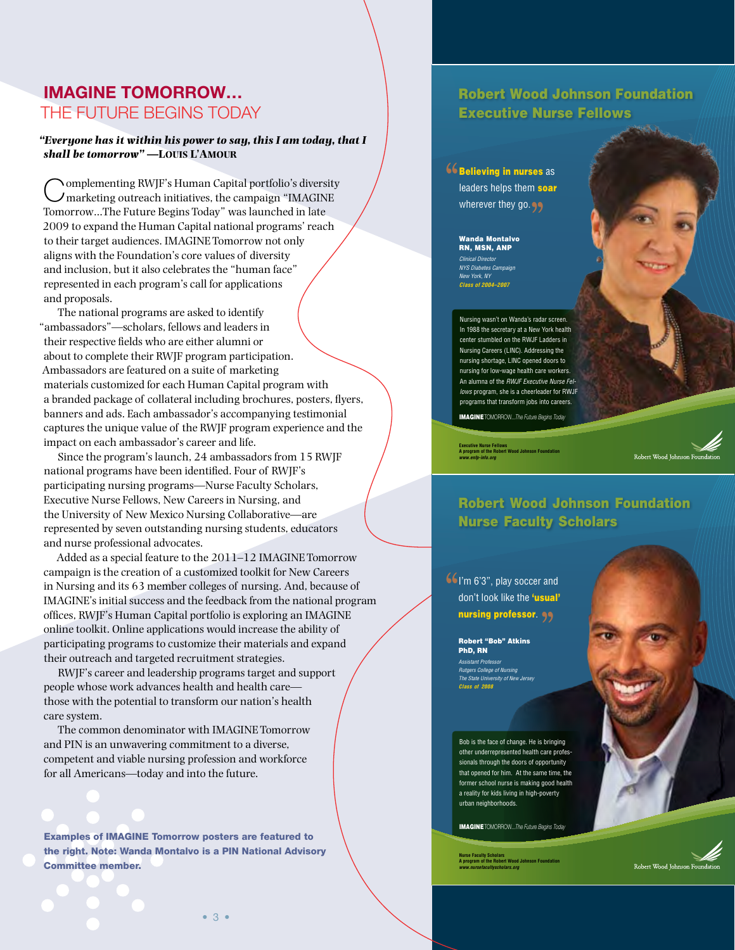#### IMAGINE Tomorrow… The Future Begins Today

#### *"Everyone has it within his power to say, this I am today, that I shall be tomorrow" —***Louis L'Amour**

Complementing RWJF's Human Capital portfolio's diversity marketing outreach initiatives, the campaign "IMAGINE Tomorrow…The Future Begins Today" was launched in late 2009 to expand the Human Capital national programs' reach to their target audiences. IMAGINE Tomorrow not only aligns with the Foundation's core values of diversity and inclusion, but it also celebrates the "human face" represented in each program's call for applications and proposals.

The national programs are asked to identify "ambassadors"—scholars, fellows and leaders in their respective fields who are either alumni or about to complete their RWJF program participation. Ambassadors are featured on a suite of marketing materials customized for each Human Capital program with a branded package of collateral including brochures, posters, flyers, banners and ads. Each ambassador's accompanying testimonial captures the unique value of the RWJF program experience and the impact on each ambassador's career and life.

Since the program's launch, 24 ambassadors from 15 RWJF national programs have been identified. Four of RWJF's participating nursing programs—Nurse Faculty Scholars, Executive Nurse Fellows, New Careers in Nursing, and the University of New Mexico Nursing Collaborative—are represented by seven outstanding nursing students, educators and nurse professional advocates.

Added as a special feature to the 2011–12 IMAGINE Tomorrow campaign is the creation of a customized toolkit for New Careers in Nursing and its 63 member colleges of nursing. And, because of IMAGINE's initial success and the feedback from the national program offices, RWJF's Human Capital portfolio is exploring an IMAGINE online toolkit. Online applications would increase the ability of participating programs to customize their materials and expand their outreach and targeted recruitment strategies.

RWJF's career and leadership programs target and support people whose work advances health and health care those with the potential to transform our nation's health care system.

The common denominator with IMAGINE Tomorrow and PIN is an unwavering commitment to a diverse, competent and viable nursing profession and workforce for all Americans—today and into the future.

Examples of IMAGINE Tomorrow posters are featured to the right. Note: Wanda Montalvo is a PIN National Advisory Committee member.

#### Robert Wood Johnson Foundation Executive Nurse Fellows

**66 Believing in nurses as leaders helps them soar** leaders helps them soar wherever they go.

> Wanda Montalvo RN, MSN, ANP *Clinical Director NYS Diabetes Campaign New York, NY Class of 2004–2007*

Nursing wasn't on Wanda's radar screen. In 1988 the secretary at a New York health center stumbled on the RWJF Ladders in Nursing Careers (LINC). Addressing the nursing shortage, LINC opened doors to nursing for low-wage health care workers. An alumna of the *RWJF Executive Nurse Fellows* program, she is a cheerleader for RWJF programs that transform jobs into careers.

IMAGINETomorrow...*The Future Begins Today*

**Executive Nurse Fellows A program of the Robert Wood Johnson Foundation**  *www.enfp-info.org*

Robert Wood Johnson Foundat

#### Robert Wood Johnson Foundation Nurse Faculty Scholars

**6** I'm 6'3", play soccer and don't look like the 'usual' don't look like the 'usual' nursing professor. 99

Robert "Bob" Atkins PhD, RN *Assistant Professor Rutgers College of Nursing The State University of New Jersey*

*Class of 2008*

Bob is the face of change. He is bringing other underrepresented health care professionals through the doors of opportunity that opened for him. At the same time, the former school nurse is making good health a reality for kids living in high-poverty urban neighborhoods.

IMAGINETomorrow...*The Future Begins Today*

**Nurse Faculty Scholars A program of the Robert Wood Johnson Foundation**  *www.nursefacultyscholars.org*



Robert Wood Johnson Foundatio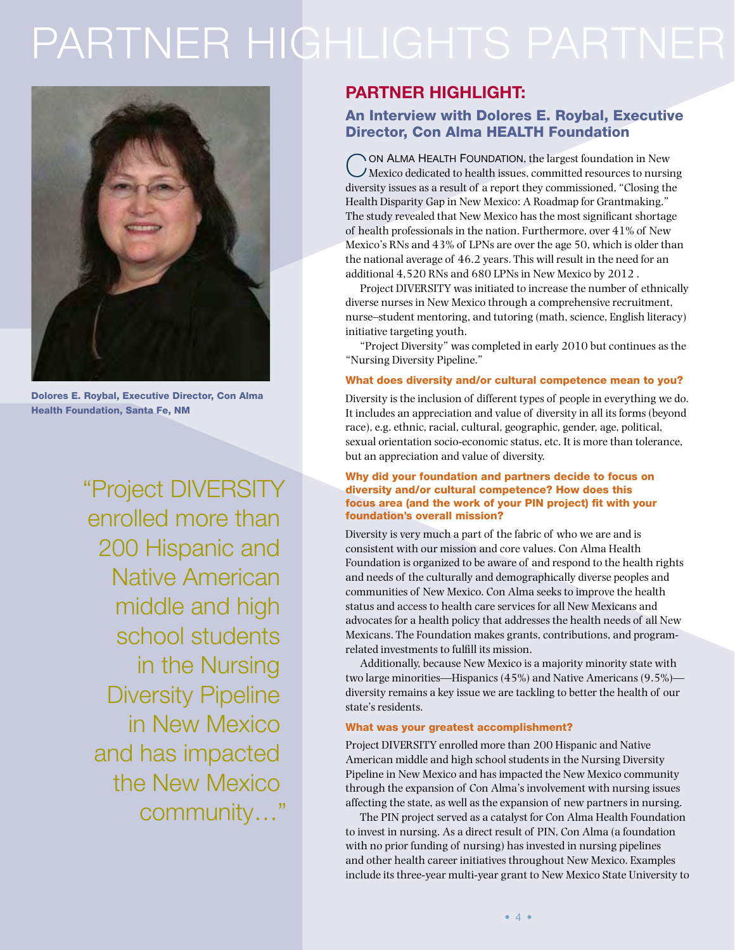## PARTNER HIGHLIGHTS PARTNER



Dolores E. Roybal, Executive Director, Con Alma Health Foundation, Santa Fe, NM

"Project DIVERSITY enrolled more than 200 Hispanic and Native American middle and high school students in the Nursing Diversity Pipeline in New Mexico and has impacted the New Mexico community…"

#### Partner Highlight:

#### An Interview with Dolores E. Roybal, Executive Director, Con Alma HEALTH Foundation

ON ALMA HEALTH FOUNDATION, the largest foundation in New Mexico dedicated to health issues, committed resources to nursing diversity issues as a result of a report they commissioned, "Closing the Health Disparity Gap in New Mexico: A Roadmap for Grantmaking." The study revealed that New Mexico has the most significant shortage of health professionals in the nation. Furthermore, over 41% of New Mexico's RNs and 43% of LPNs are over the age 50, which is older than the national average of 46.2 years. This will result in the need for an additional 4,520 RNs and 680 LPNs in New Mexico by 2012 .

Project DIVERSITY was initiated to increase the number of ethnically diverse nurses in New Mexico through a comprehensive recruitment, nurse–student mentoring, and tutoring (math, science, English literacy) initiative targeting youth.

"Project Diversity" was completed in early 2010 but continues as the "Nursing Diversity Pipeline."

#### What does diversity and/or cultural competence mean to you?

Diversity is the inclusion of different types of people in everything we do. It includes an appreciation and value of diversity in all its forms (beyond race), e.g. ethnic, racial, cultural, geographic, gender, age, political, sexual orientation socio-economic status, etc. It is more than tolerance, but an appreciation and value of diversity.

#### Why did your foundation and partners decide to focus on diversity and/or cultural competence? How does this focus area (and the work of your PIN project) fit with your foundation's overall mission?

Diversity is very much a part of the fabric of who we are and is consistent with our mission and core values. Con Alma Health Foundation is organized to be aware of and respond to the health rights and needs of the culturally and demographically diverse peoples and communities of New Mexico. Con Alma seeks to improve the health status and access to health care services for all New Mexicans and advocates for a health policy that addresses the health needs of all New Mexicans. The Foundation makes grants, contributions, and programrelated investments to fulfill its mission.

Additionally, because New Mexico is a majority minority state with two large minorities—Hispanics (45%) and Native Americans (9.5%) diversity remains a key issue we are tackling to better the health of our state's residents.

#### What was your greatest accomplishment?

Project DIVERSITY enrolled more than 200 Hispanic and Native American middle and high school students in the Nursing Diversity Pipeline in New Mexico and has impacted the New Mexico community through the expansion of Con Alma's involvement with nursing issues affecting the state, as well as the expansion of new partners in nursing.

The PIN project served as a catalyst for Con Alma Health Foundation to invest in nursing. As a direct result of PIN, Con Alma (a foundation with no prior funding of nursing) has invested in nursing pipelines and other health career initiatives throughout New Mexico. Examples include its three-year multi-year grant to New Mexico State University to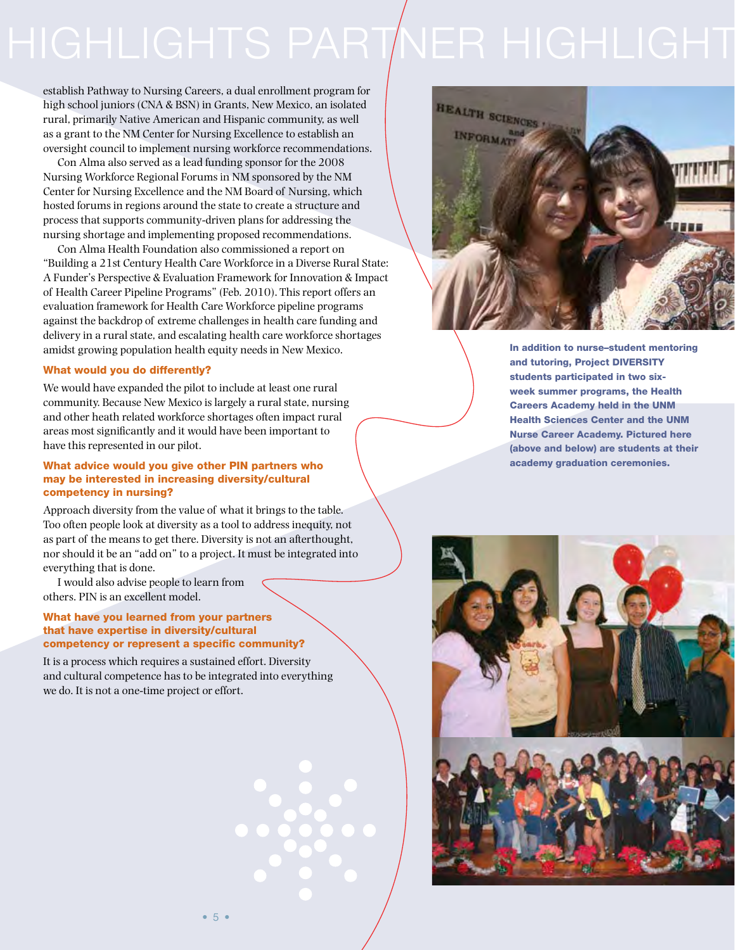# HIGHLIGHTS PARTNER HIGHLIGHT

establish Pathway to Nursing Careers, a dual enrollment program for high school juniors (CNA & BSN) in Grants, New Mexico, an isolated rural, primarily Native American and Hispanic community, as well as a grant to the NM Center for Nursing Excellence to establish an oversight council to implement nursing workforce recommendations.

Con Alma also served as a lead funding sponsor for the 2008 Nursing Workforce Regional Forums in NM sponsored by the NM Center for Nursing Excellence and the NM Board of Nursing, which hosted forums in regions around the state to create a structure and process that supports community-driven plans for addressing the nursing shortage and implementing proposed recommendations.

Con Alma Health Foundation also commissioned a report on "Building a 21st Century Health Care Workforce in a Diverse Rural State: A Funder's Perspective & Evaluation Framework for Innovation & Impact of Health Career Pipeline Programs" (Feb. 2010). This report offers an evaluation framework for Health Care Workforce pipeline programs against the backdrop of extreme challenges in health care funding and delivery in a rural state, and escalating health care workforce shortages amidst growing population health equity needs in New Mexico.

#### What would you do differently?

We would have expanded the pilot to include at least one rural community. Because New Mexico is largely a rural state, nursing and other heath related workforce shortages often impact rural areas most significantly and it would have been important to have this represented in our pilot.

#### What advice would you give other PIN partners who may be interested in increasing diversity/cultural competency in nursing?

Approach diversity from the value of what it brings to the table. Too often people look at diversity as a tool to address inequity, not as part of the means to get there. Diversity is not an afterthought, nor should it be an "add on" to a project. It must be integrated into everything that is done.

I would also advise people to learn from others. PIN is an excellent model.

#### What have you learned from your partners that have expertise in diversity/cultural competency or represent a specific community?

It is a process which requires a sustained effort. Diversity and cultural competence has to be integrated into everything we do. It is not a one-time project or effort.



In addition to nurse–student mentoring and tutoring, Project DIVERSITY students participated in two sixweek summer programs, the Health Careers Academy held in the UNM Health Sciences Center and the UNM Nurse Career Academy. Pictured here (above and below) are students at their academy graduation ceremonies.

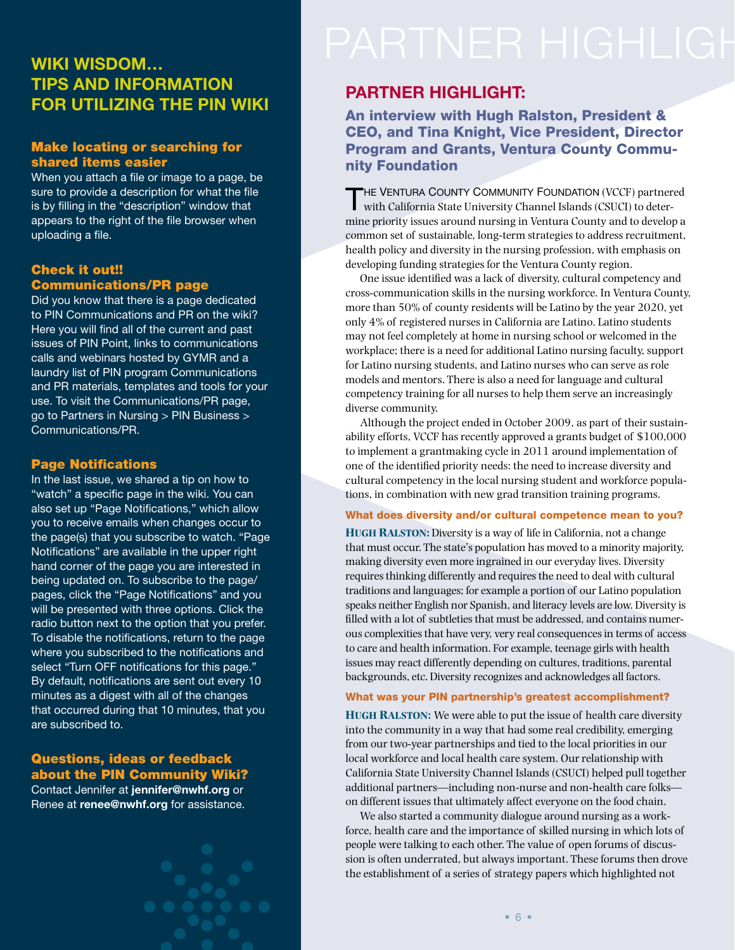#### Wiki Wisdom… Tips and Information for Utilizing the PIN Wiki

#### Make locating or searching for shared items easier

When you attach a file or image to a page, be sure to provide a description for what the file is by filling in the "description" window that appears to the right of the file browser when uploading a file.

#### Check it out!! Communications/PR page

Did you know that there is a page dedicated to PIN Communications and PR on the wiki? Here you will find all of the current and past issues of PIN Point, links to communications calls and webinars hosted by GYMR and a laundry list of PIN program Communications and PR materials, templates and tools for your use. To visit the Communications/PR page, go to Partners in Nursing > PIN Business > Communications/PR.

#### Page Notifications

In the last issue, we shared a tip on how to "watch" a specific page in the wiki. You can also set up "Page Notifications," which allow you to receive emails when changes occur to the page(s) that you subscribe to watch. "Page Notifications" are available in the upper right hand corner of the page you are interested in being updated on. To subscribe to the page/ pages, click the "Page Notifications" and you will be presented with three options. Click the radio button next to the option that you prefer. To disable the notifications, return to the page where you subscribed to the notifications and select "Turn OFF notifications for this page." By default, notifications are sent out every 10 minutes as a digest with all of the changes that occurred during that 10 minutes, that you are subscribed to.

#### Questions, ideas or feedback about the PIN Community Wiki?

Contact Jennifer at [jennifer@nwhf.org](mailto:jennifer%40nwhf.org?subject=PIN%20Community%20Wiki) or Renee at [renee@nwhf.org](mailto:renee%40nwhf.org?subject=PIN%20Community%20Wiki) for assistance.

#### Partner Highlight:

#### An interview with Hugh Ralston, President & CEO, and Tina Knight, Vice President, Director Program and Grants, Ventura County Community Foundation

THE VENTURA COUNTY COMMUNITY FOUNDATION (VCCF) partnered with California State University Channel Islands (CSUCI) to determine priority issues around nursing in Ventura County and to develop a common set of sustainable, long-term strategies to address recruitment, health policy and diversity in the nursing profession, with emphasis on developing funding strategies for the Ventura County region.

One issue identified was a lack of diversity, cultural competency and cross-communication skills in the nursing workforce. In Ventura County, more than 50% of county residents will be Latino by the year 2020, yet only 4% of registered nurses in California are Latino. Latino students may not feel completely at home in nursing school or welcomed in the workplace; there is a need for additional Latino nursing faculty, support for Latino nursing students, and Latino nurses who can serve as role models and mentors. There is also a need for language and cultural competency training for all nurses to help them serve an increasingly diverse community.

Although the project ended in October 2009, as part of their sustainability efforts, VCCF has recently approved a grants budget of \$100,000 to implement a grantmaking cycle in 2011 around implementation of one of the identified priority needs: the need to increase diversity and cultural competency in the local nursing student and workforce populations, in combination with new grad transition training programs.

#### What does diversity and/or cultural competence mean to you?

**Hugh Ralston:** Diversity is a way of life in California, not a change that must occur. The state's population has moved to a minority majority, making diversity even more ingrained in our everyday lives. Diversity requires thinking differently and requires the need to deal with cultural traditions and languages; for example a portion of our Latino population speaks neither English nor Spanish, and literacy levels are low. Diversity is filled with a lot of subtleties that must be addressed, and contains numerous complexities that have very, very real consequences in terms of access to care and health information. For example, teenage girls with health issues may react differently depending on cultures, traditions, parental backgrounds, etc. Diversity recognizes and acknowledges all factors.

#### What was your PIN partnership's greatest accomplishment?

**HUGH RALSTON:** We were able to put the issue of health care diversity into the community in a way that had some real credibility, emerging from our two-year partnerships and tied to the local priorities in our local workforce and local health care system. Our relationship with California State University Channel Islands (CSUCI) helped pull together additional partners—including non-nurse and non-health care folks on different issues that ultimately affect everyone on the food chain.

We also started a community dialogue around nursing as a workforce, health care and the importance of skilled nursing in which lots of people were talking to each other. The value of open forums of discussion is often underrated, but always important. These forums then drove the establishment of a series of strategy papers which highlighted not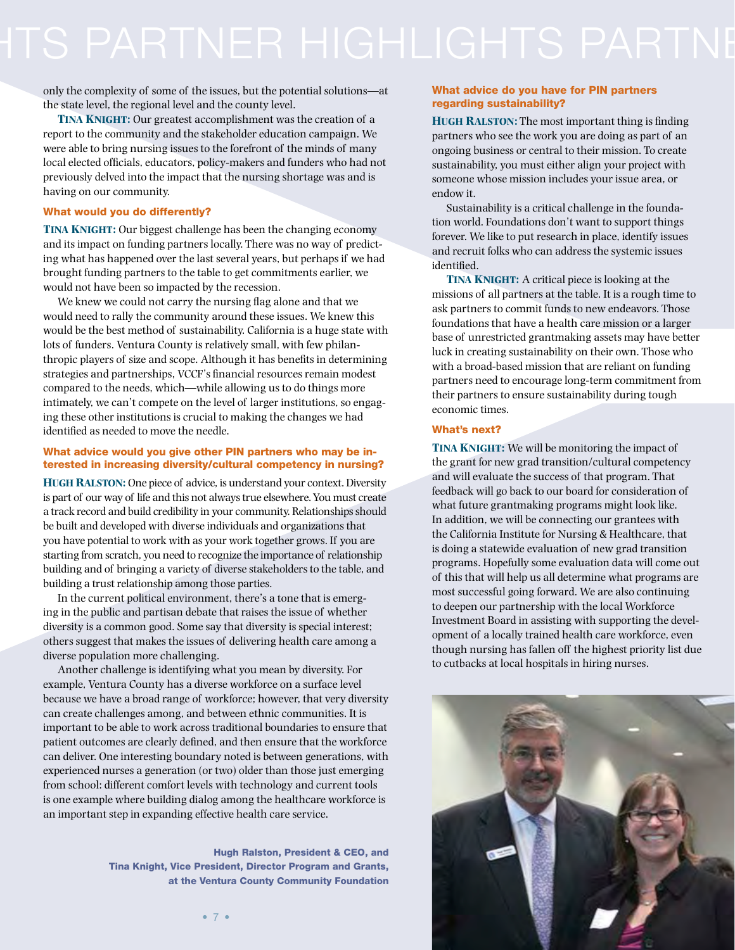only the complexity of some of the issues, but the potential solutions—at the state level, the regional level and the county level.

**Tina Knight:** Our greatest accomplishment was the creation of a report to the community and the stakeholder education campaign. We were able to bring nursing issues to the forefront of the minds of many local elected officials, educators, policy-makers and funders who had not previously delved into the impact that the nursing shortage was and is having on our community.

#### What would you do differently?

**TINA KNIGHT:** Our biggest challenge has been the changing economy and its impact on funding partners locally. There was no way of predicting what has happened over the last several years, but perhaps if we had brought funding partners to the table to get commitments earlier, we would not have been so impacted by the recession.

We knew we could not carry the nursing flag alone and that we would need to rally the community around these issues. We knew this would be the best method of sustainability. California is a huge state with lots of funders. Ventura County is relatively small, with few philanthropic players of size and scope. Although it has benefits in determining strategies and partnerships, VCCF's financial resources remain modest compared to the needs, which—while allowing us to do things more intimately, we can't compete on the level of larger institutions, so engaging these other institutions is crucial to making the changes we had identified as needed to move the needle.

#### What advice would you give other PIN partners who may be interested in increasing diversity/cultural competency in nursing?

**Hugh Ralston:** One piece of advice, is understand your context. Diversity is part of our way of life and this not always true elsewhere. You must create a track record and build credibility in your community. Relationships should be built and developed with diverse individuals and organizations that you have potential to work with as your work together grows. If you are starting from scratch, you need to recognize the importance of relationship building and of bringing a variety of diverse stakeholders to the table, and building a trust relationship among those parties.

In the current political environment, there's a tone that is emerging in the public and partisan debate that raises the issue of whether diversity is a common good. Some say that diversity is special interest; others suggest that makes the issues of delivering health care among a diverse population more challenging.

Another challenge is identifying what you mean by diversity. For example, Ventura County has a diverse workforce on a surface level because we have a broad range of workforce; however, that very diversity can create challenges among, and between ethnic communities. It is important to be able to work across traditional boundaries to ensure that patient outcomes are clearly defined, and then ensure that the workforce can deliver. One interesting boundary noted is between generations, with experienced nurses a generation (or two) older than those just emerging from school: different comfort levels with technology and current tools is one example where building dialog among the healthcare workforce is an important step in expanding effective health care service.

> Hugh Ralston, President & CEO, and Tina Knight, Vice President, Director Program and Grants, at the Ventura County Community Foundation

#### What advice do you have for PIN partners regarding sustainability?

**Hugh Ralston:** The most important thing is finding partners who see the work you are doing as part of an ongoing business or central to their mission. To create sustainability, you must either align your project with someone whose mission includes your issue area, or endow it.

Sustainability is a critical challenge in the foundation world. Foundations don't want to support things forever. We like to put research in place, identify issues and recruit folks who can address the systemic issues identified.

**Tina Knight:** A critical piece is looking at the missions of all partners at the table. It is a rough time to ask partners to commit funds to new endeavors. Those foundations that have a health care mission or a larger base of unrestricted grantmaking assets may have better luck in creating sustainability on their own. Those who with a broad-based mission that are reliant on funding partners need to encourage long-term commitment from their partners to ensure sustainability during tough economic times.

#### What's next?

**Tina Knight:** We will be monitoring the impact of the grant for new grad transition/cultural competency and will evaluate the success of that program. That feedback will go back to our board for consideration of what future grantmaking programs might look like. In addition, we will be connecting our grantees with the California Institute for Nursing & Healthcare, that is doing a statewide evaluation of new grad transition programs. Hopefully some evaluation data will come out of this that will help us all determine what programs are most successful going forward. We are also continuing to deepen our partnership with the local Workforce Investment Board in assisting with supporting the development of a locally trained health care workforce, even though nursing has fallen off the highest priority list due to cutbacks at local hospitals in hiring nurses.